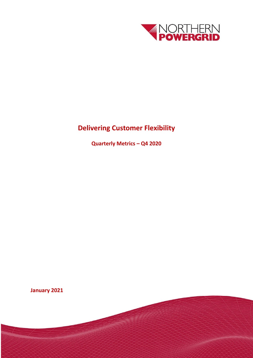

# **Delivering Customer Flexibility**

**Quarterly Metrics – Q4 2020**

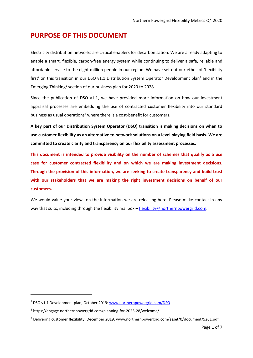### **PURPOSE OF THIS DOCUMENT**

Electricity distribution networks are critical enablers for decarbonisation. We are already adapting to enable a smart, flexible, carbon-free energy system while continuing to deliver a safe, reliable and affordable service to the eight million people in our region. We have set out our ethos of 'flexibility first' on this transition in our DSO v1.1 Distribution System Operator Development plan<sup>1</sup> and in the Emerging Thinking<sup>2</sup> section of our business plan for 2023 to 2028.

Since the publication of DSO v1.1, we have provided more information on how our investment appraisal processes are embedding the use of contracted customer flexibility into our standard business as usual operations<sup>3</sup> where there is a cost-benefit for customers.

**A key part of our Distribution System Operator (DSO) transition is making decisions on when to use customer flexibility as an alternative to network solutions on a level playing field basis. We are committed to create clarity and transparency on our flexibility assessment processes.** 

**This document is intended to provide visibility on the number of schemes that qualify as a use case for customer contracted flexibility and on which we are making investment decisions. Through the provision of this information, we are seeking to create transparency and build trust with our stakeholders that we are making the right investment decisions on behalf of our customers.**

We would value your views on the information we are releasing here. Please make contact in any way that suits, including through the flexibility mailbox – [flexibility@northernpowergrid.com.](mailto:flexibility@northernpowergrid.com)

1

<sup>1</sup> DSO v1.1 Development plan, October 2019: [www.northernpowergrid.com/DSO](http://www.northernpowergrid.com/DSO)

<sup>2</sup> https://engage.northernpowergrid.com/planning-for-2023-28/welcome/

<sup>3</sup> Delivering customer flexibility, December 2019: www.northernpowergrid.com/asset/0/document/5261.pdf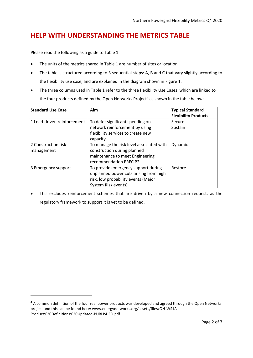## **HELP WITH UNDERSTANDING THE METRICS TABLE**

Please read the following as a guide to Table 1.

1

- The units of the metrics shared in Table 1 are number of sites or location.
- The table is structured according to 3 sequential steps: A, B and C that vary slightly according to the flexibility use case, and are explained in the diagram shown in Figure 1.
- The three columns used in Table 1 refer to the three flexibility Use Cases, which are linked to the four products defined by the Open Networks Project<sup>4</sup> as shown in the table below:

| <b>Standard Use Case</b>    | Aim                                      | <b>Typical Standard</b><br><b>Flexibility Products</b> |
|-----------------------------|------------------------------------------|--------------------------------------------------------|
| 1 Load-driven reinforcement | To defer significant spending on         | Secure                                                 |
|                             | network reinforcement by using           | Sustain                                                |
|                             | flexibility services to create new       |                                                        |
|                             | capacity                                 |                                                        |
| 2 Construction risk         | To manage the risk level associated with | Dynamic                                                |
| management                  | construction during planned              |                                                        |
|                             | maintenance to meet Engineering          |                                                        |
|                             | recommendation EREC P2                   |                                                        |
| 3 Emergency support         | To provide emergency support during      | Restore                                                |
|                             | unplanned power cuts arising from high   |                                                        |
|                             | risk, low probability events (Major      |                                                        |
|                             | System Risk events)                      |                                                        |

 This excludes reinforcement schemes that are driven by a new connection request, as the regulatory framework to support it is yet to be defined.

<sup>&</sup>lt;sup>4</sup> A common definition of the four real power products was developed and agreed through the Open Networks project and this can be found here: www.energynetworks.org/assets/files/ON-WS1A-Product%20Definitions%20Updated-PUBLISHED.pdf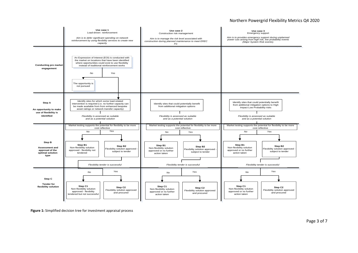#### Northern Powergrid Flexibility Metrics Q4 2020



**Figure 1:** Simplified decision tree for investment appraisal process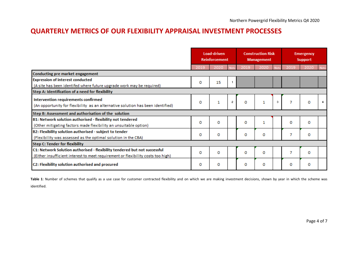### **QUARTERLY METRICS OF OUR FLEXIBILITY APPRAISAL INVESTMENT PROCESSES**

|                                                                                  |          | Load-driven<br><b>Reinforcement</b> |                | <b>Construction Risk</b><br><b>Management</b> |      |    | <b>Emergency</b><br>Support |      |        |
|----------------------------------------------------------------------------------|----------|-------------------------------------|----------------|-----------------------------------------------|------|----|-----------------------------|------|--------|
|                                                                                  | 2019     | 2020                                |                | 201                                           | 2020 |    |                             | 2020 |        |
| Conducting pre market engagement                                                 |          |                                     |                |                                               |      |    |                             |      |        |
| <b>Expression of interest conducted</b>                                          | 0        | 15                                  |                |                                               |      |    |                             |      |        |
| (A site has been identifed where future upgrade work may be required)            |          |                                     |                |                                               |      |    |                             |      |        |
| Step A: Identification of a need for flexibility                                 |          |                                     |                |                                               |      |    |                             |      |        |
| Intervention requirements confirmed                                              | 0        | 1                                   | $\overline{2}$ | 0                                             |      | з. |                             | o    | $\sim$ |
| (An opportunity for flexibility as an alternative solution has been identified)  |          |                                     |                |                                               | 1    |    | 7                           |      |        |
| Step B: Assessment and authorisation of the solution                             |          |                                     |                |                                               |      |    |                             |      |        |
| B1: Network solution authorised - flexibility not tendered                       | 0        | 0                                   |                | 0                                             | 1    |    | 0                           |      |        |
| (Other mitigating factors made flexibility an unsuitable option)                 |          |                                     |                |                                               |      |    |                             | o    |        |
| B2: Flexibility solution authorised - subject to tender                          |          |                                     |                |                                               |      |    |                             |      |        |
| (Flexibility was assessed as the optimal solution in the CBA)                    | o        | 0                                   |                | 0                                             | o    |    | 7                           | 0    |        |
| <b>Step C: Tender for flexibility</b>                                            |          |                                     |                |                                               |      |    |                             |      |        |
| C1: Network Solution authorised - flexibility tendered but not successful        | $\Omega$ | 0                                   |                | o                                             | o    |    | 7                           | o    |        |
| (Either insufficient interest to meet requirement or flexibility costs too high) |          |                                     |                |                                               |      |    |                             |      |        |
| C2: Flexibility solution authorised and procured                                 | 0        | 0                                   |                | 0                                             | o    |    | о                           | 0    |        |

Table 1: Number of schemes that qualify as a use case for customer contracted flexibility and on which we are making investment decisions, shown by year in which the scheme was identified.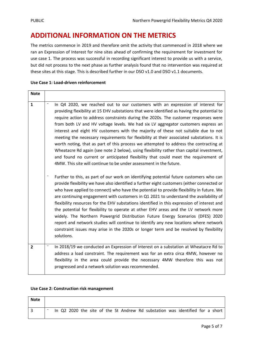### **ADDITIONAL INFORMATION ON THE METRICS**

The metrics commence in 2019 and therefore omit the activity that commenced in 2018 where we ran an Expression of Interest for nine sites ahead of confirming the requirement for investment for use case 1. The process was successful in recording significant interest to provide us with a service, but did not process to the next phase as further analysis found that no intervention was required at these sites at this stage. This is described further in our DSO v1.0 and DSO v1.1 documents.

| Use Case 1: Load-driven reinforcement |  |
|---------------------------------------|--|
|---------------------------------------|--|

| <b>Note</b>    |                                                                                                                                                                                                                                                                                                                                                                                                                                                                                                                                                                                                                                                                                                                                                                                                                                                                                               |
|----------------|-----------------------------------------------------------------------------------------------------------------------------------------------------------------------------------------------------------------------------------------------------------------------------------------------------------------------------------------------------------------------------------------------------------------------------------------------------------------------------------------------------------------------------------------------------------------------------------------------------------------------------------------------------------------------------------------------------------------------------------------------------------------------------------------------------------------------------------------------------------------------------------------------|
| $\mathbf{1}$   | In Q4 2020, we reached out to our customers with an expression of interest for<br>providing flexibility at 15 EHV substations that were identified as having the potential to<br>require action to address constraints during the 2020s. The customer responses were<br>from both LV and HV voltage levels. We had six LV aggregator customers express an<br>interest and eight HV customers with the majority of these not suitable due to not<br>meeting the necessary requirements for flexibility at their associated substations. It is<br>worth noting, that as part of this process we attempted to address the contracting at<br>Wheatacre Rd again (see note 2 below), using flexibility rather than capital investment,<br>and found no current or anticipated flexibility that could meet the requirement of<br>4MW. This site will continue to be under assessment in the future. |
|                | Further to this, as part of our work on identifying potential future customers who can<br>provide flexibility we have also identified a further eight customers (either connected or<br>who have applied to connect) who have the potential to provide flexibility in future. We<br>are continuing engagement with customers in Q1 2021 to understand the availability of<br>flexibility resources for the EHV substations identified in this expression of interest and<br>the potential for flexibility to operate at other EHV areas and the LV network more<br>widely. The Northern Powergrid Distribution Future Energy Scenarios (DFES) 2020<br>report and network studies will continue to identify any new locations where network<br>constraint issues may arise in the 2020s or longer term and be resolved by flexibility<br>solutions.                                            |
| $\overline{2}$ | $\qquad \qquad -$<br>In 2018/19 we conducted an Expression of Interest on a substation at Wheatacre Rd to<br>address a load constraint. The requirement was for an extra circa 4MW, however no<br>flexibility in the area could provide the necessary 4MW therefore this was not<br>progressed and a network solution was recommended.                                                                                                                                                                                                                                                                                                                                                                                                                                                                                                                                                        |

| Use Case 2: Construction risk management |  |
|------------------------------------------|--|
|------------------------------------------|--|

| <b>Note</b> |  |  |  |  |  |                                                                               |  |  |  |
|-------------|--|--|--|--|--|-------------------------------------------------------------------------------|--|--|--|
|             |  |  |  |  |  | In Q2 2020 the site of the St Andrew Rd substation was identified for a short |  |  |  |